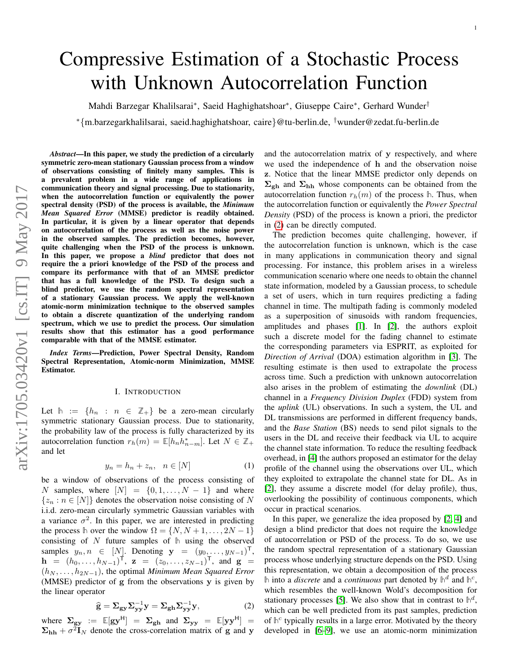# Compressive Estimation of a Stochastic Process with Unknown Autocorrelation Function

Mahdi Barzegar Khalilsarai\*, Saeid Haghighatshoar\*, Giuseppe Caire\*, Gerhard Wunder<sup>†</sup>

<sup>∗</sup>{m.barzegarkhalilsarai, saeid.haghighatshoar, caire}@tu-berlin.de, †wunder@zedat.fu-berlin.de

*Abstract*—In this paper, we study the prediction of a circularly symmetric zero-mean stationary Gaussian process from a window of observations consisting of finitely many samples. This is a prevalent problem in a wide range of applications in communication theory and signal processing. Due to stationarity, when the autocorrelation function or equivalently the power spectral density (PSD) of the process is available, the *Minimum Mean Squared Error* (MMSE) predictor is readily obtained. In particular, it is given by a linear operator that depends on autocorrelation of the process as well as the noise power in the observed samples. The prediction becomes, however, quite challenging when the PSD of the process is unknown. In this paper, we propose a *blind* predictor that does not require the a priori knowledge of the PSD of the process and compare its performance with that of an MMSE predictor that has a full knowledge of the PSD. To design such a blind predictor, we use the random spectral representation of a stationary Gaussian process. We apply the well-known atomic-norm minimization technique to the observed samples to obtain a discrete quantization of the underlying random spectrum, which we use to predict the process. Our simulation results show that this estimator has a good performance comparable with that of the MMSE estimator.

*Index Terms*—Prediction, Power Spectral Density, Random Spectral Representation, Atomic-norm Minimization, MMSE Estimator.

## I. INTRODUCTION

Let  $h := \{h_n : n \in \mathbb{Z}_+\}$  be a zero-mean circularly symmetric stationary Gaussian process. Due to stationarity, the probability law of the process is fully characterized by its autocorrelation function  $r_h(m) = \mathbb{E}[h_n h_{n-m}^*]$ . Let  $N \in \mathbb{Z}_+$ and let

$$
y_n = h_n + z_n, \quad n \in [N] \tag{1}
$$

be a window of observations of the process consisting of N samples, where  $[N] = \{0, 1, \ldots, N-1\}$  and where  ${z_n : n \in [N]}$  denotes the observation noise consisting of N i.i.d. zero-mean circularly symmetric Gaussian variables with a variance  $\sigma^2$ . In this paper, we are interested in predicting the process h over the window  $\Omega = \{N, N+1, \ldots, 2N-1\}$ consisting of N future samples of **h** using the observed samples  $y_n, n \in [N]$ . Denoting  $\mathbf{y} = (y_0, \dots, y_{N-1})^{\mathsf{T}}$ ,  $\mathbf{h} = (h_0, \dots, h_{N-1})^{\mathsf{T}}, \mathbf{z} = (z_0, \dots, z_{N-1})^{\mathsf{T}}, \text{ and } \mathbf{g} =$  $(h_N, \ldots, h_{2N-1})$ , the optimal *Minimum Mean Squared Error* (MMSE) predictor of g from the observations y is given by the linear operator

<span id="page-0-0"></span>
$$
\widehat{\mathbf{g}} = \Sigma_{\mathbf{g}\mathbf{y}} \Sigma_{\mathbf{y}\mathbf{y}}^{-1} \mathbf{y} = \Sigma_{\mathbf{g}\mathbf{h}} \Sigma_{\mathbf{y}\mathbf{y}}^{-1} \mathbf{y},\tag{2}
$$

where  $\Sigma_{\rm gy}$  :=  $\mathbb{E}[\rm{gy}^{\rm H}]$  =  $\Sigma_{\rm gh}$  and  $\Sigma_{\rm yy}$  =  $\mathbb{E}[\rm{yy}^{\rm H}]$  =  $\Sigma_{hh} + \sigma^2 \mathbf{I}_N$  denote the cross-correlation matrix of g and y

and the autocorrelation matrix of y respectively, and where we used the independence of h and the observation noise z. Notice that the linear MMSE predictor only depends on  $\Sigma_{\rm gh}$  and  $\Sigma_{\rm hh}$  whose components can be obtained from the autocorrelation function  $r_h(m)$  of the process  $\mathbb{h}$ . Thus, when the autocorrelation function or equivalently the *Power Spectral Density* (PSD) of the process is known a priori, the predictor in [\(2\)](#page-0-0) can be directly computed.

The prediction becomes quite challenging, however, if the autocorrelation function is unknown, which is the case in many applications in communication theory and signal processing. For instance, this problem arises in a wireless communication scenario where one needs to obtain the channel state information, modeled by a Gaussian process, to schedule a set of users, which in turn requires predicting a fading channel in time. The multipath fading is commonly modeled as a superposition of sinusoids with random frequencies, amplitudes and phases [\[1\]](#page-5-0). In [\[2\]](#page-5-1), the authors exploit such a discrete model for the fading channel to estimate the corresponding parameters via ESPRIT, as exploited for *Direction of Arrival* (DOA) estimation algorithm in [\[3\]](#page-5-2). The resulting estimate is then used to extrapolate the process across time. Such a prediction with unknown autocorrelation also arises in the problem of estimating the *downlink* (DL) channel in a *Frequency Division Duplex* (FDD) system from the *uplink* (UL) observations. In such a system, the UL and DL transmissions are performed in different frequency bands, and the *Base Station* (BS) needs to send pilot signals to the users in the DL and receive their feedback via UL to acquire the channel state information. To reduce the resulting feedback overhead, in [\[4\]](#page-5-3) the authors proposed an estimator for the delay profile of the channel using the observations over UL, which they exploited to extrapolate the channel state for DL. As in [\[2\]](#page-5-1), they assume a discrete model (for delay profile), thus, overlooking the possibility of continuous components, which occur in practical scenarios.

In this paper, we generalize the idea proposed by [\[2,](#page-5-1) [4\]](#page-5-3) and design a blind predictor that does not require the knowledge of autocorrelation or PSD of the process. To do so, we use the random spectral representation of a stationary Gaussian process whose underlying structure depends on the PSD. Using this representation, we obtain a decomposition of the process  $\mathbb{R}$  into a *discrete* and a *continuous* part denoted by  $\mathbb{R}^d$  and  $\mathbb{R}^c$ , which resembles the well-known Wold's decomposition for stationary processes [\[5\]](#page-5-4). We also show that in contrast to  $\mathbb{h}^d$ , which can be well predicted from its past samples, prediction of  $h^c$  typically results in a large error. Motivated by the theory developed in [\[6–](#page-5-5)[9\]](#page-5-6), we use an atomic-norm minimization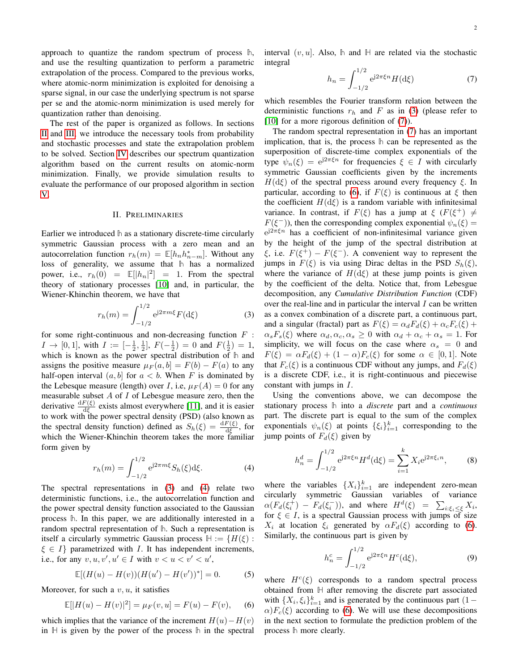approach to quantize the random spectrum of process **h**, and use the resulting quantization to perform a parametric extrapolation of the process. Compared to the previous works, where atomic-norm minimization is exploited for denoising a sparse signal, in our case the underlying spectrum is not sparse per se and the atomic-norm minimization is used merely for quantization rather than denoising.

The rest of the paper is organized as follows. In sections [II](#page-1-0) and [III,](#page-2-0) we introduce the necessary tools from probability and stochastic processes and state the extrapolation problem to be solved. Section [IV](#page-2-1) describes our spectrum quantization algorithm based on the current results on atomic-norm minimization. Finally, we provide simulation results to evaluate the performance of our proposed algorithm in section [V.](#page-3-0)

## II. PRELIMINARIES

<span id="page-1-0"></span>Earlier we introduced **h** as a stationary discrete-time circularly symmetric Gaussian process with a zero mean and an autocorrelation function  $r_h(m) = \mathbb{E}[h_n h_{n-m}^*]$ . Without any loss of generality, we assume that **h** has a normalized power, i.e.,  $r_h(0) = \mathbb{E}[|h_n|^2] = 1$ . From the spectral theory of stationary processes [\[10\]](#page-5-7) and, in particular, the Wiener-Khinchin theorem, we have that

<span id="page-1-1"></span>
$$
r_h(m) = \int_{-1/2}^{1/2} e^{j2\pi m\xi} F(\mathrm{d}\xi)
$$
 (3)

for some right-continuous and non-decreasing function  $F$ :  $I \to [0, 1]$ , with  $I := [-\frac{1}{2}, \frac{1}{2}]$ ,  $F(-\frac{1}{2}) = 0$  and  $F(\frac{1}{2}) = 1$ , which is known as the power spectral distribution of **h** and assigns the positive measure  $\mu_F(a, b] = F(b) - F(a)$  to any half-open interval  $(a, b]$  for  $a < b$ . When F is dominated by the Lebesque measure (length) over I, i.e,  $\mu_F(A) = 0$  for any measurable subset  $A$  of  $I$  of Lebesgue measure zero, then the derivative  $\frac{dF(\xi)}{d\xi}$  exists almost everywhere [\[11\]](#page-5-8), and it is easier to work with the power spectral density (PSD) (also known as the spectral density function) defined as  $S_h(\xi) = \frac{dF(\xi)}{d\xi}$ , for which the Wiener-Khinchin theorem takes the more familiar form given by

<span id="page-1-2"></span>
$$
r_h(m) = \int_{-1/2}^{1/2} e^{j2\pi m\xi} S_h(\xi) d\xi.
$$
 (4)

The spectral representations in [\(3\)](#page-1-1) and [\(4\)](#page-1-2) relate two deterministic functions, i.e., the autocorrelation function and the power spectral density function associated to the Gaussian process **h**. In this paper, we are additionally interested in a random spectral representation of **h**. Such a representation is itself a circularly symmetric Gaussian process  $H := \{H(\xi) :$  $\xi \in I$  parametrized with I. It has independent increments, i.e., for any  $v, u, v', u' \in I$  with  $v < u < v' < u'$ ,

$$
\mathbb{E}[(H(u) - H(v))(H(u') - H(v'))^*] = 0.
$$
 (5)

Moreover, for such a  $v, u$ , it satisfies

$$
\mathbb{E}[|H(u) - H(v)|^2] = \mu_F(v, u) = F(u) - F(v), \quad (6)
$$

which implies that the variance of the increment  $H(u) - H(v)$ in **H** is given by the power of the process **h** in the spectral interval  $(v, u]$ . Also,  $\mathbb{h}$  and  $\mathbb{H}$  are related via the stochastic integral

<span id="page-1-3"></span>
$$
h_n = \int_{-1/2}^{1/2} e^{j2\pi\xi n} H(\mathrm{d}\xi) \tag{7}
$$

which resembles the Fourier transform relation between the deterministic functions  $r<sub>h</sub>$  and F as in [\(3\)](#page-1-1) (please refer to [\[10\]](#page-5-7) for a more rigorous definition of [\(7\)](#page-1-3)).

The random spectral representation in [\(7\)](#page-1-3) has an important implication, that is, the process **h** can be represented as the superposition of discrete-time complex exponentials of the type  $\psi_n(\xi) = e^{j2\pi \xi n}$  for frequencies  $\xi \in I$  with circularly symmetric Gaussian coefficients given by the increments  $H(d\xi)$  of the spectral process around every frequency  $\xi$ . In particular, according to [\(6\)](#page-1-4), if  $F(\xi)$  is continuous at  $\xi$  then the coefficient  $H(d\xi)$  is a random variable with infinitesimal variance. In contrast, if  $F(\xi)$  has a jump at  $\xi$  ( $F(\xi^+) \neq$  $F(\xi^-)$ ), then the corresponding complex exponential  $\psi_n(\xi)$  =  $e^{j2\pi\xi n}$  has a coefficient of non-infinitesimal variance given by the height of the jump of the spectral distribution at  $\xi$ , i.e.  $F(\xi^+) - F(\xi^-)$ . A convenient way to represent the jumps in  $F(\xi)$  is via using Dirac deltas in the PSD  $S_h(\xi)$ , where the variance of  $H(d\xi)$  at these jump points is given by the coefficient of the delta. Notice that, from Lebesgue decomposition, any *Cumulative Distribution Function* (CDF) over the real-line and in particular the interval  $I$  can be written as a convex combination of a discrete part, a continuous part, and a singular (fractal) part as  $F(\xi) = \alpha_d F_d(\xi) + \alpha_c F_c(\xi) +$  $\alpha_s F_s(\xi)$  where  $\alpha_d, \alpha_c, \alpha_s \geq 0$  with  $\alpha_d + \alpha_c + \alpha_s = 1$ . For simplicity, we will focus on the case where  $\alpha_s = 0$  and  $F(\xi) = \alpha F_d(\xi) + (1 - \alpha)F_c(\xi)$  for some  $\alpha \in [0, 1]$ . Note that  $F_c(\xi)$  is a continuous CDF without any jumps, and  $F_d(\xi)$ is a discrete CDF, i.e., it is right-continuous and piecewise constant with jumps in I.

Using the conventions above, we can decompose the stationary process **h** into a *discrete* part and a *continuous* part. The discrete part is equal to the sum of the complex exponentials  $\psi_n(\xi)$  at points  $\{\xi_i\}_{i=1}^k$  corresponding to the jump points of  $F_d(\xi)$  given by

$$
h_n^d = \int_{-1/2}^{1/2} e^{j2\pi\xi n} H^d(\mathrm{d}\xi) = \sum_{i=1}^k X_i e^{j2\pi\xi_i n},\tag{8}
$$

where the variables  $\{X_i\}_{i=1}^k$  are independent zero-mean circularly symmetric Gaussian variables of variance  $\alpha(F_d(\xi_i^+) - F_d(\xi_i^-))$ , and where  $H^d(\xi) = \sum_{i:\xi_i \leq \xi} X_i$ , for  $\xi \in I$ , is a spectral Gaussian process with jumps of size  $X_i$  at location  $\xi_i$  generated by  $\alpha F_d(\xi)$  according to [\(6\)](#page-1-4). Similarly, the continuous part is given by

$$
h_n^c = \int_{-1/2}^{1/2} e^{j2\pi\xi n} H^c(\mathrm{d}\xi),\tag{9}
$$

<span id="page-1-4"></span>where  $H^c(\xi)$  corresponds to a random spectral process obtained from **H** after removing the discrete part associated with  $\{X_i, \xi_i\}_{i=1}^k$  and is generated by the continuous part  $(1 \alpha$ ) $F_c(\xi)$  according to [\(6\)](#page-1-4). We will use these decompositions in the next section to formulate the prediction problem of the process **h** more clearly.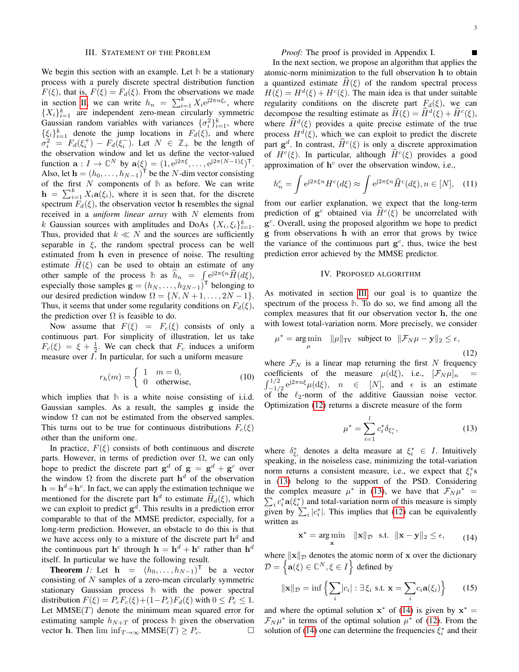#### III. STATEMENT OF THE PROBLEM

<span id="page-2-0"></span>We begin this section with an example. Let **h** be a stationary process with a purely discrete spectral distribution function  $F(\xi)$ , that is,  $F(\xi) = F_d(\xi)$ . From the observations we made in section [II,](#page-1-0) we can write  $h_n = \sum_{i=1}^{k} X_i e^{j2\pi n \xi_i}$ , where  ${X_i}_{i=1}^k$  are independent zero-mean circularly symmetric Gaussian random variables with variances  $\{\sigma_i^2\}_{i=1}^k$ , where  $\{\xi_i\}_{i=1}^k$  denote the jump locations in  $F_d(\xi)$ , and where  $\sigma_i^2 = F_d(\xi_i^+) - F_d(\xi_i^-)$ . Let  $N \in \mathbb{Z}_+$  be the length of the observation window and let us define the vector-valued function  $\mathbf{a}: I \to \mathbb{C}^N$  by  $\mathbf{a}(\xi) = (1, e^{j2\pi\xi}, \dots, e^{j2\pi(N-1)\xi})^{\mathsf{T}}$ . Also, let  $\mathbf{h} = (h_0, \dots, h_{N-1})^\mathsf{T}$  be the N-dim vector consisting of the first N components of **h** as before. We can write  $h = \sum_{i=1}^{k} X_i \mathbf{a}(\xi_i)$ , where it is seen that, for the discrete spectrum  $F_d(\xi)$ , the observation vector h resembles the signal received in a *uniform linear array* with N elements from k Gaussian sources with amplitudes and DoAs  $\{X_i, \xi_i\}_{i=1}^k$ . Thus, provided that  $k \ll N$  and the sources are sufficiently separable in  $\xi$ , the random spectral process can be well estimated from h even in presence of noise. The resulting estimate  $\hat{H}(\xi)$  can be used to obtain an estimate of any other sample of the process **h** as  $\hat{h}_n = \int e^{j2\pi\xi n} \hat{H}(d\xi)$ , especially those samples  $\mathbf{g} = (h_N, \dots, h_{2N-1})^{\mathsf{T}}$  belonging to our desired prediction window  $\Omega = \{N, N+1, \ldots, 2N-1\}.$ Thus, it seems that under some regularity conditions on  $F_d(\xi)$ , the prediction over  $\Omega$  is feasible to do.

Now assume that  $F(\xi) = F_c(\xi)$  consists of only a continuous part. For simplicity of illustration, let us take  $F_c(\xi) = \xi + \frac{1}{2}$ . We can check that  $F_c$  induces a uniform measure over I. In particular, for such a uniform measure

$$
r_h(m) = \begin{cases} 1 & m = 0, \\ 0 & \text{otherwise,} \end{cases}
$$
 (10)

which implies that **h** is a white noise consisting of i.i.d. Gaussian samples. As a result, the samples g inside the window  $\Omega$  can not be estimated from the observed samples. This turns out to be true for continuous distributions  $F_c(\xi)$ other than the uniform one.

In practice,  $F(\xi)$  consists of both continuous and discrete parts. However, in terms of prediction over  $\Omega$ , we can only hope to predict the discrete part  $g^d$  of  $g = g^d + g^c$  over the window  $\Omega$  from the discrete part  $h^d$  of the observation  $h = h<sup>d</sup> + h<sup>c</sup>$ . In fact, we can apply the estimation technique we mentioned for the discrete part  $h^d$  to estimate  $\hat{H}_d(\xi)$ , which we can exploit to predict  $g^d$ . This results in a prediction error comparable to that of the MMSE predictor, especially, for a long-term prediction. However, an obstacle to do this is that we have access only to a mixture of the discrete part  $h<sup>d</sup>$  and the continuous part  $h^c$  through  $h = h^d + h^c$  rather than  $h^d$ itself. In particular we have the following result.

<span id="page-2-5"></span>**Theorem** *1*: Let  $\mathbf{h} = (h_0, \dots, h_{N-1})^T$  be a vector consisting of  $N$  samples of a zero-mean circularly symmetric stationary Gaussian process **h** with the power spectral distribution  $F(\xi) = P_c F_c(\xi) + (1 - P_c) F_d(\xi)$  with  $0 \le P_c \le 1$ . Let  $MMSE(T)$  denote the minimum mean squared error for estimating sample  $h_{N+T}$  of process  $\mathbb{h}$  given the observation vector **h**. Then  $\liminf_{T\to\infty}$  MMSE(*T*)  $\ge P_c$ . П

*Proof:* The proof is provided in Appendix I.

In the next section, we propose an algorithm that applies the atomic-norm minimization to the full observation h to obtain a quantized estimate  $H(\xi)$  of the random spectral process  $H(\xi) = H^d(\xi) + H^c(\xi)$ . The main idea is that under suitable regularity conditions on the discrete part  $F_d(\xi)$ , we can decompose the resulting estimate as  $\hat{H}(\xi) = \hat{H}^d(\xi) + \hat{H}^c(\xi)$ , where  $\hat{H}^d(\xi)$  provides a quite precise estimate of the true process  $H^d(\xi)$ , which we can exploit to predict the discrete part  $\mathbf{g}^d$ . In contrast,  $\hat{H}^c(\xi)$  is only a discrete approximation of  $H^c(\xi)$ . In particular, although  $\hat{H}^c(\xi)$  provides a good approximation of  $h^c$  over the observation window, i.e.,

$$
h_n^c = \int e^{j2\pi\xi n} H^c(d\xi) \approx \int e^{j2\pi\xi n} \hat{H}^c(d\xi), n \in [N], \quad (11)
$$

from our earlier explanation, we expect that the long-term prediction of  $\mathbf{g}^c$  obtained via  $\hat{H}^c(\xi)$  be uncorrelated with g c . Overall, using the proposed algorithm we hope to predict g from observations h with an error that grows by twice the variance of the continuous part  $g<sup>c</sup>$ , thus, twice the best prediction error achieved by the MMSE predictor.

## IV. PROPOSED ALGORITHM

<span id="page-2-1"></span>As motivated in section [III,](#page-2-0) our goal is to quantize the spectrum of the process **h**. To do so, we find among all the complex measures that fit our observation vector h, the one with lowest total-variation norm. More precisely, we consider

<span id="page-2-2"></span>
$$
\mu^* = \underset{\mu}{\arg\min} \quad \|\mu\|_{\text{TV}} \quad \text{subject to} \quad \|\mathcal{F}_N\mu - \mathbf{y}\|_2 \le \epsilon,
$$
\n(12)

where  $\mathcal{F}_N$  is a linear map returning the first N frequency coefficients of the measure  $\mu(d\xi)$ , i.e.,  $[\mathcal{F}_N\mu]_n$  = coefficients of the measure  $\mu(d\xi)$ , i.e.,  $[\mathcal{F}_N \mu]_n =$ <br> $\int_{-1/2}^{1/2} e^{j2\pi n\xi} \mu(d\xi)$ ,  $n \in [N]$ , and  $\epsilon$  is an estimate of the  $\ell_2$ -norm of the additive Gaussian noise vector. Optimization [\(12\)](#page-2-2) returns a discrete measure of the form

<span id="page-2-3"></span>
$$
\mu^* = \sum_{i=1}^l c_i^* \delta_{\xi_i^*},\tag{13}
$$

where  $\delta_{\xi_i}^*$  denotes a delta measure at  $\xi_i^* \in I$ . Intuitively speaking, in the noiseless case, minimizing the total-variation norm returns a consistent measure, i.e., we expect that  $\xi_i^*$ s in [\(13\)](#page-2-3) belong to the support of the PSD. Considering the complex measure  $\mu^*$  in [\(13\)](#page-2-3), we have that  $\mathcal{F}_N \mu^* =$  $\sum_i c_i^* \mathbf{a}(\xi_i^*)$  and total-variation norm of this measure is simply given by  $\sum_i |c_i^*|$ . This implies that [\(12\)](#page-2-2) can be equivalently written as

<span id="page-2-4"></span>
$$
\mathbf{x}^* = \underset{\mathbf{x}}{\arg\min} \quad \|\mathbf{x}\|_{\mathcal{D}} \quad \text{s.t.} \quad \|\mathbf{x} - \mathbf{y}\|_2 \le \epsilon, \tag{14}
$$

where  $\|\mathbf{x}\|_{\mathcal{D}}$  denotes the atomic norm of x over the dictionary  $\mathcal{D} = \left\{ \mathbf{a}(\xi) \in \mathbb{C}^N, \xi \in I \right\}$  defined by

$$
\|\mathbf{x}\|_{\mathcal{D}} = \inf \left\{ \sum_{i} |c_{i}| : \exists \xi_{i} \text{ s.t. } \mathbf{x} = \sum_{i} c_{i} \mathbf{a}(\xi_{i}) \right\} \qquad (15)
$$

and where the optimal solution  $x^*$  of [\(14\)](#page-2-4) is given by  $x^* =$  $\mathcal{F}_N \mu^*$  in terms of the optimal solution  $\mu^*$  of [\(12\)](#page-2-2). From the solution of [\(14\)](#page-2-4) one can determine the frequencies  $\xi_i^*$  and their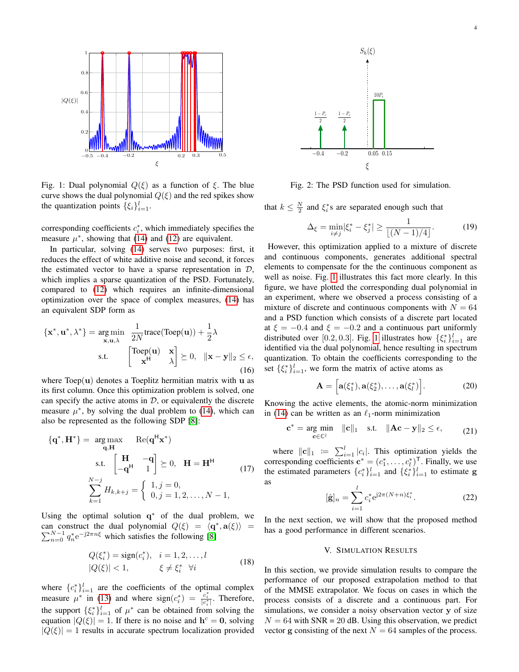<span id="page-3-1"></span>

Fig. 1: Dual polynomial  $Q(\xi)$  as a function of  $\xi$ . The blue curve shows the dual polynomial  $Q(\xi)$  and the red spikes show the quantization points  $\{\xi_i\}_{i=1}^l$ .

corresponding coefficients  $c_i^*$ , which immediately specifies the measure  $\mu^*$ , showing that [\(14\)](#page-2-4) and [\(12\)](#page-2-2) are equivalent.

In particular, solving [\(14\)](#page-2-4) serves two purposes: first, it reduces the effect of white additive noise and second, it forces the estimated vector to have a sparse representation in  $D$ , which implies a sparse quantization of the PSD. Fortunately, compared to [\(12\)](#page-2-2) which requires an infinite-dimensional optimization over the space of complex measures, [\(14\)](#page-2-4) has an equivalent SDP form as

$$
\{\mathbf{x}^*, \mathbf{u}^*, \lambda^*\} = \underset{\mathbf{x}, \mathbf{u}, \lambda}{\arg \min} \quad \frac{1}{2N} \text{trace}(\text{Toep}(\mathbf{u})) + \frac{1}{2}\lambda
$$
  
s.t. 
$$
\begin{bmatrix} \text{Toep}(\mathbf{u}) & \mathbf{x} \\ \mathbf{x}^H & \lambda \end{bmatrix} \succeq 0, \quad \|\mathbf{x} - \mathbf{y}\|_2 \le \epsilon,
$$
(16)

where  $Toep(u)$  denotes a Toeplitz hermitian matrix with u as its first column. Once this optimization problem is solved, one can specify the active atoms in  $D$ , or equivalently the discrete measure  $\mu^*$ , by solving the dual problem to [\(14\)](#page-2-4), which can also be represented as the following SDP [\[8\]](#page-5-9):

$$
\{\mathbf{q}^*, \mathbf{H}^*\} = \underset{\mathbf{q}, \mathbf{H}}{\arg \max} \quad \text{Re}(\mathbf{q}^{\mathsf{H}} \mathbf{x}^*)
$$
  
s.t. 
$$
\begin{bmatrix} \mathbf{H} & -\mathbf{q} \\ -\mathbf{q}^{\mathsf{H}} & 1 \end{bmatrix} \succeq 0, \quad \mathbf{H} = \mathbf{H}^{\mathsf{H}} \tag{17}
$$

$$
\sum_{k=1}^{N-j} H_{k,k+j} = \begin{cases} 1, j = 0, \\ 0, j = 1, 2, \dots, N - 1, \end{cases}
$$

Using the optimal solution  $q^*$  of the dual problem, we can construct the dual polynomial  $Q(\xi) = \langle \mathbf{q}^*, \mathbf{a}(\xi) \rangle = \sum_{n=0}^{N-1} q_n^* e^{-j2\pi n \xi}$  which satisfies the following [\[8\]](#page-5-9)

$$
Q(\xi_i^*) = \text{sign}(c_i^*), \quad i = 1, 2, \dots, l
$$
  

$$
|Q(\xi)| < 1, \qquad \xi \neq \xi_i^* \quad \forall i
$$
 (18)

where  $\{c_i^*\}_{i=1}^l$  are the coefficients of the optimal complex measure  $\mu^*$  in [\(13\)](#page-2-3) and where  $sign(c_i^*) = \frac{c_i^*}{|c_i^*|}$ . Therefore, the support  $\{\xi_i^*\}_{i=1}^l$  of  $\mu^*$  can be obtained from solving the equation  $|Q(\xi)| = 1$ . If there is no noise and  $h^c = 0$ , solving  $|Q(\xi)| = 1$  results in accurate spectrum localization provided

<span id="page-3-2"></span>

Fig. 2: The PSD function used for simulation.

that  $k \leq \frac{N}{2}$  and  $\xi_i^*$ s are separated enough such that

$$
\Delta_{\xi} = \min_{i \neq j} |\xi_i^* - \xi_j^*| \ge \frac{1}{\lfloor (N-1)/4 \rfloor}.
$$
 (19)

However, this optimization applied to a mixture of discrete and continuous components, generates additional spectral elements to compensate for the the continuous component as well as noise. Fig. [1](#page-3-1) illustrates this fact more clearly. In this figure, we have plotted the corresponding dual polynomial in an experiment, where we observed a process consisting of a mixture of discrete and continuous components with  $N = 64$ and a PSD function which consists of a discrete part located at  $\xi = -0.4$  and  $\xi = -0.2$  and a continuous part uniformly distributed over [0.2, 0.3]. Fig. [1](#page-3-1) illustrates how  $\{\xi_i^*\}_{i=1}^l$  are identified via the dual polynomial, hence resulting in spectrum quantization. To obtain the coefficients corresponding to the set  $\{\xi_i^*\}_{i=1}^l$ , we form the matrix of active atoms as

$$
\mathbf{A} = \left[ \mathbf{a}(\xi_1^*), \mathbf{a}(\xi_2^*), \dots, \mathbf{a}(\xi_l^*) \right]. \tag{20}
$$

Knowing the active elements, the atomic-norm minimization in [\(14\)](#page-2-4) can be written as an  $\ell_1$ -norm minimization

$$
\mathbf{c}^* = \underset{\mathbf{c} \in \mathbb{C}^l}{\arg \min} \quad \|\mathbf{c}\|_1 \quad \text{s.t.} \quad \|\mathbf{A}\mathbf{c} - \mathbf{y}\|_2 \le \epsilon, \tag{21}
$$

where  $||c||_1 := \sum_{i=1}^l |c_i|$ . This optimization yields the corresponding coefficients  $\mathbf{c}^* = (c_1^*, \dots, c_l^*)^\mathsf{T}$ . Finally, we use the estimated parameters  $\{c_i^*\}_{i=1}^l$  and  $\{\xi_i^*\}_{i=1}^l$  to estimate g as

$$
[\hat{\mathbf{g}}]_n = \sum_{i=1}^l c_i^* e^{j2\pi(N+n)\xi_i^*}.
$$
 (22)

In the next section, we will show that the proposed method has a good performance in different scenarios.

## V. SIMULATION RESULTS

<span id="page-3-0"></span>In this section, we provide simulation results to compare the performance of our proposed extrapolation method to that of the MMSE extrapolator. We focus on cases in which the process consists of a discrete and a continuous part. For simulations, we consider a noisy observation vector y of size  $N = 64$  with SNR = 20 dB. Using this observation, we predict vector g consisting of the next  $N = 64$  samples of the process.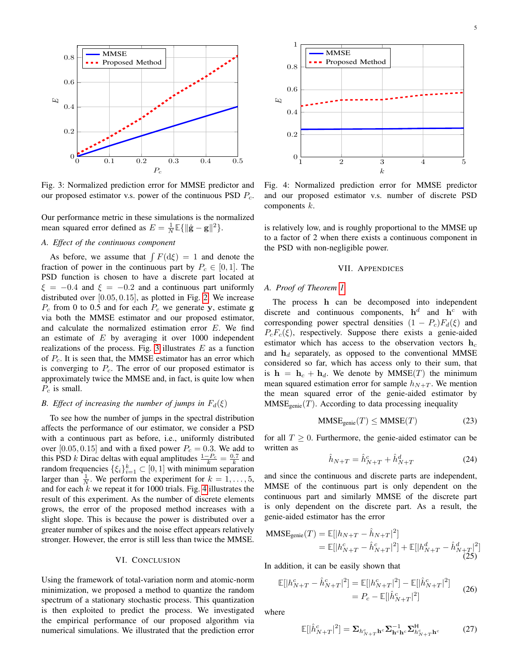<span id="page-4-0"></span>

Fig. 3: Normalized prediction error for MMSE predictor and our proposed estimator v.s. power of the continuous PSD  $P_c$ .

Our performance metric in these simulations is the normalized mean squared error defined as  $E = \frac{1}{N} \mathbb{E} \{ ||\hat{\mathbf{g}} - \mathbf{g}||^2 \}.$ 

# *A. Effect of the continuous component*

As before, we assume that  $\int F(\mathrm{d}\xi) = 1$  and denote the fraction of power in the continuous part by  $P_c \in [0, 1]$ . The PSD function is chosen to have a discrete part located at  $\xi = -0.4$  and  $\xi = -0.2$  and a continuous part uniformly distributed over [0.05, 0.15], as plotted in Fig. [2.](#page-3-2) We increase  $P_c$  from 0 to 0.5 and for each  $P_c$  we generate y, estimate g via both the MMSE estimator and our proposed estimator, and calculate the normalized estimation error E. We find an estimate of  $E$  by averaging it over 1000 independent realizations of the process. Fig. [3](#page-4-0) illustrates  $E$  as a function of  $P_c$ . It is seen that, the MMSE estimator has an error which is converging to  $P_c$ . The error of our proposed estimator is approximately twice the MMSE and, in fact, is quite low when  $P_c$  is small.

# *B. Effect of increasing the number of jumps in*  $F_d(\xi)$

To see how the number of jumps in the spectral distribution affects the performance of our estimator, we consider a PSD with a continuous part as before, i.e., uniformly distributed over [0.05, 0.15] and with a fixed power  $P_c = 0.3$ . We add to this PSD k Dirac deltas with equal amplitudes  $\frac{1-P_c}{k} = \frac{0.7}{k}$  and random frequencies  $\{\xi_i\}_{i=1}^k \subset [0,1]$  with minimum separation larger than  $\frac{1}{N}$ . We perform the experiment for  $k = 1, \ldots, 5$ , and for each  $k$  we repeat it for 1000 trials. Fig. [4](#page-4-1) illustrates the result of this experiment. As the number of discrete elements grows, the error of the proposed method increases with a slight slope. This is because the power is distributed over a greater number of spikes and the noise effect appears relatively stronger. However, the error is still less than twice the MMSE.

## VI. CONCLUSION

Using the framework of total-variation norm and atomic-norm minimization, we proposed a method to quantize the random spectrum of a stationary stochastic process. This quantization is then exploited to predict the process. We investigated the empirical performance of our proposed algorithm via numerical simulations. We illustrated that the prediction error

<span id="page-4-1"></span>

Fig. 4: Normalized prediction error for MMSE predictor and our proposed estimator v.s. number of discrete PSD components  $k$ .

is relatively low, and is roughly proportional to the MMSE up to a factor of 2 when there exists a continuous component in the PSD with non-negligible power.

#### VII. APPENDICES

## *A. Proof of Theorem [1](#page-2-5)*

The process h can be decomposed into independent discrete and continuous components,  $h^d$  and  $h^c$  with corresponding power spectral densities  $(1 - P_c)F_d(\xi)$  and  $P_cF_c(\xi)$ , respectively. Suppose there exists a genie-aided estimator which has access to the observation vectors  $h_c$ and  $h_d$  separately, as opposed to the conventional MMSE considered so far, which has access only to their sum, that is  $h = h_c + h_d$ . We denote by MMSE(T) the minimum mean squared estimation error for sample  $h_{N+T}$ . We mention the mean squared error of the genie-aided estimator by  $MMSE<sub>genic</sub>(T)$ . According to data processing inequality

<span id="page-4-3"></span>
$$
MMSE_{\text{genic}}(T) \leq MMSE(T) \tag{23}
$$

for all  $T \geq 0$ . Furthermore, the genie-aided estimator can be written as

$$
\hat{h}_{N+T} = \hat{h}_{N+T}^c + \hat{h}_{N+T}^d \tag{24}
$$

and since the continuous and discrete parts are independent, MMSE of the continuous part is only dependent on the continuous part and similarly MMSE of the discrete part is only dependent on the discrete part. As a result, the genie-aided estimator has the error

$$
\begin{aligned} \text{MMSE}_{\text{genic}}(T) &= \mathbb{E}[|h_{N+T} - \hat{h}_{N+T}|^2] \\ &= \mathbb{E}[|h_{N+T}^c - \hat{h}_{N+T}^c|^2] + \mathbb{E}[|h_{N+T}^d - \hat{h}_{N+T}^d|^2] \\ & \tag{25} \end{aligned}
$$

In addition, it can be easily shown that

<span id="page-4-2"></span>
$$
\mathbb{E}[|h_{N+T}^c - \hat{h}_{N+T}^c|^2] = \mathbb{E}[|h_{N+T}^c|^2] - \mathbb{E}[|\hat{h}_{N+T}^c|^2] \n= P_c - \mathbb{E}[|\hat{h}_{N+T}^c|^2]
$$
\n(26)

where

$$
\mathbb{E}[\left|\hat{h}_{N+T}^{c}\right|^{2}] = \sum_{h_{N+T}^{c}} \mathbf{h}_{\mathbf{c}} \sum_{\mathbf{h}_{\mathbf{c}} \mathbf{h}_{\mathbf{c}}} \sum_{h_{N+T}^{c}}^{\mathsf{H}} \mathbf{h}_{\mathbf{c}} \tag{27}
$$